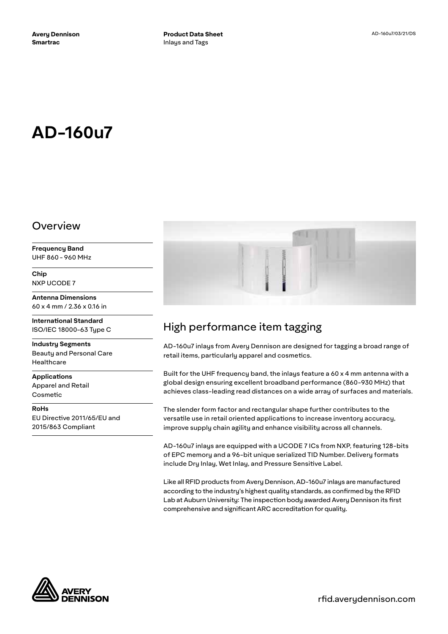# **AD-160u7**

#### Overview

**Frequency Band** UHF 860 - 960 MHz

**Chip** NXP UCODE 7

**Antenna Dimensions** 60 x 4 mm / 2.36 x 0.16 in

**International Standard** ISO/IEC 18000-63 Type C

**Industry Segments** Beauty and Personal Care Healthcare

**Applications** Apparel and Retail Cosmetic

**RoHs** EU Directive 2011/65/EU and 2015/863 Compliant



## High performance item tagging

AD-160u7 inlays from Avery Dennison are designed for tagging a broad range of retail items, particularly apparel and cosmetics.

Built for the UHF frequency band, the inlays feature a 60 x 4 mm antenna with a global design ensuring excellent broadband performance (860-930 MHz) that achieves class-leading read distances on a wide array of surfaces and materials.

The slender form factor and rectangular shape further contributes to the versatile use in retail oriented applications to increase inventory accuracy, improve supply chain agility and enhance visibility across all channels.

AD-160u7 inlays are equipped with a UCODE 7 ICs from NXP, featuring 128-bits of EPC memory and a 96-bit unique serialized TID Number. Delivery formats include Dry Inlay, Wet Inlay, and Pressure Sensitive Label.

Like all RFID products from Avery Dennison, AD-160u7 inlays are manufactured according to the industry's highest quality standards, as confirmed by the RFID Lab at Auburn University: The inspection body awarded Avery Dennison its first comprehensive and significant ARC accreditation for quality.